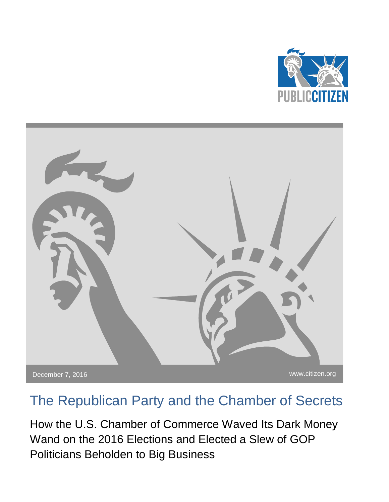



# The Republican Party and the Chamber of Secrets

How the U.S. Chamber of Commerce Waved Its Dark Money Wand on the 2016 Elections and Elected a Slew of GOP Politicians Beholden to Big Business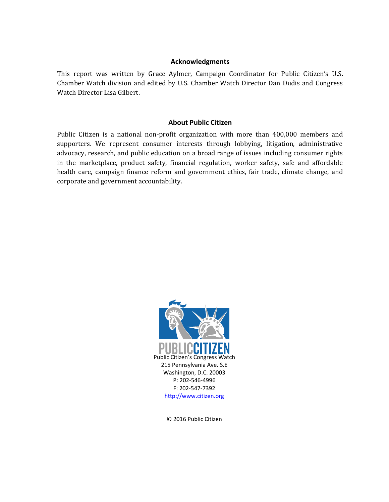#### **Acknowledgments**

This report was written by Grace Aylmer, Campaign Coordinator for Public Citizen's U.S. Chamber Watch division and edited by U.S. Chamber Watch Director Dan Dudis and Congress Watch Director Lisa Gilbert.

### **About Public Citizen**

Public Citizen is a national non-profit organization with more than 400,000 members and supporters. We represent consumer interests through lobbying, litigation, administrative advocacy, research, and public education on a broad range of issues including consumer rights in the marketplace, product safety, financial regulation, worker safety, safe and affordable health care, campaign finance reform and government ethics, fair trade, climate change, and corporate and government accountability.



© 2016 Public Citizen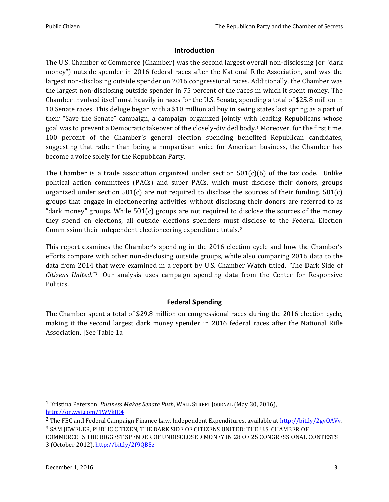# **Introduction**

The U.S. Chamber of Commerce (Chamber) was the second largest overall non-disclosing (or "dark money") outside spender in 2016 federal races after the National Rifle Association, and was the largest non-disclosing outside spender on 2016 congressional races. Additionally, the Chamber was the largest non-disclosing outside spender in 75 percent of the races in which it spent money. The Chamber involved itself most heavily in races for the U.S. Senate, spending a total of \$25.8 million in 10 Senate races. This deluge began with a \$10 million ad buy in swing states last spring as a part of their "Save the Senate" campaign, a campaign organized jointly with leading Republicans whose goal was to prevent a Democratic takeover of the closely-divided body.<sup>1</sup> Moreover, for the first time, 100 percent of the Chamber's general election spending benefited Republican candidates, suggesting that rather than being a nonpartisan voice for American business, the Chamber has become a voice solely for the Republican Party.

The Chamber is a trade association organized under section  $501(c)(6)$  of the tax code. Unlike political action committees (PACs) and super PACs, which must disclose their donors, groups organized under section  $501(c)$  are not required to disclose the sources of their funding.  $501(c)$ groups that engage in electioneering activities without disclosing their donors are referred to as "dark money" groups. While  $501(c)$  groups are not required to disclose the sources of the money they spend on elections, all outside elections spenders must disclose to the Federal Election Commission their independent electioneering expenditure totals.<sup>2</sup>

This report examines the Chamber's spending in the 2016 election cycle and how the Chamber's efforts compare with other non-disclosing outside groups, while also comparing 2016 data to the data from 2014 that were examined in a report by U.S. Chamber Watch titled, "The Dark Side of *Citizens United*."3 Our analysis uses campaign spending data from the Center for Responsive Politics.

# **Federal Spending**

The Chamber spent a total of \$29.8 million on congressional races during the 2016 election cycle, making it the second largest dark money spender in 2016 federal races after the National Rifle Association. [See Table 1a]

l

<sup>1</sup> Kristina Peterson, *Business Makes Senate Push*, WALL STREET JOURNAL (May 30, 2016), <http://on.wsj.com/1WVkJE4>

<sup>2</sup> The FEC and Federal Campaign Finance Law, Independent Expenditures, available at [http://bit.ly/2gvOAVv.](http://bit.ly/2gvOAVv) 3 SAM JEWELER, PUBLIC CITIZEN, THE DARK SIDE OF CITIZENS UNITED: THE U.S. CHAMBER OF COMMERCE IS THE BIGGEST SPENDER OF UNDISCLOSED MONEY IN 28 OF 25 CONGRESSIONAL CONTESTS

<sup>3 (</sup>October 2012)[, http://bit.ly/2f9QB5z](http://bit.ly/2f9QB5z)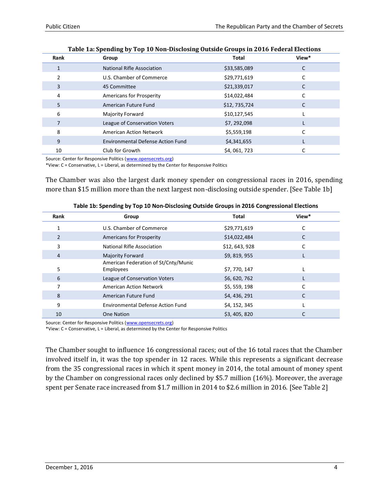| Rank | Group                                    | Total        | View* |
|------|------------------------------------------|--------------|-------|
|      | <b>National Rifle Association</b>        | \$33,585,089 |       |
|      | U.S. Chamber of Commerce                 | \$29,771,619 |       |
| 3    | 45 Committee                             | \$21,339,017 |       |
| 4    | <b>Americans for Prosperity</b>          | \$14,022,484 |       |
| 5    | American Future Fund                     | \$12,735,724 |       |
| 6    | Majority Forward                         | \$10,127,545 |       |
| 7    | League of Conservation Voters            | \$7,292,098  |       |
| 8    | <b>American Action Network</b>           | \$5,559,198  |       |
| 9    | <b>Environmental Defense Action Fund</b> | \$4,341,655  |       |
| 10   | Club for Growth                          | \$4,061,723  |       |

|  | Table 1a: Spending by Top 10 Non-Disclosing Outside Groups in 2016 Federal Elections |
|--|--------------------------------------------------------------------------------------|
|  |                                                                                      |

Source: Center for Responsive Politics [\(www.opensecrets.org\)](file://///pcdc2/user%20data$/gaylmer/My%20Documents/www.opensecrets.org)

\*View: C = Conservative, L = Liberal, as determined by the Center for Responsive Politics

The Chamber was also the largest dark money spender on congressional races in 2016, spending more than \$15 million more than the next largest non-disclosing outside spender. [See Table 1b]

| Rank          | Group                                             | Total         | View* |
|---------------|---------------------------------------------------|---------------|-------|
|               | U.S. Chamber of Commerce                          | \$29,771,619  |       |
| $\mathcal{P}$ | <b>Americans for Prosperity</b>                   | \$14,022,484  |       |
| 3             | <b>National Rifle Association</b>                 | \$12,643,928  |       |
| 4             | <b>Majority Forward</b>                           | \$9,819,955   |       |
| 5             | American Federation of St/Cnty/Munic<br>Employees | \$7,770,147   |       |
| 6             | League of Conservation Voters                     | \$6,620,762   |       |
|               | <b>American Action Network</b>                    | \$5,559,198   |       |
| 8             | American Future Fund                              | \$4, 436, 291 |       |
| 9             | <b>Environmental Defense Action Fund</b>          | \$4, 152, 345 |       |
| 10            | <b>One Nation</b>                                 | \$3,405,820   |       |

| Table 1b: Spending by Top 10 Non-Disclosing Outside Groups in 2016 Congressional Elections |
|--------------------------------------------------------------------------------------------|
|--------------------------------------------------------------------------------------------|

Source: Center for Responsive Politics [\(www.opensecrets.org\)](file://///pcdc2/user%20data$/gaylmer/My%20Documents/www.opensecrets.org)

\*View: C = Conservative, L = Liberal, as determined by the Center for Responsive Politics

The Chamber sought to influence 16 congressional races; out of the 16 total races that the Chamber involved itself in, it was the top spender in 12 races. While this represents a significant decrease from the 35 congressional races in which it spent money in 2014, the total amount of money spent by the Chamber on congressional races only declined by \$5.7 million (16%). Moreover, the average spent per Senate race increased from \$1.7 million in 2014 to \$2.6 million in 2016. [See Table 2]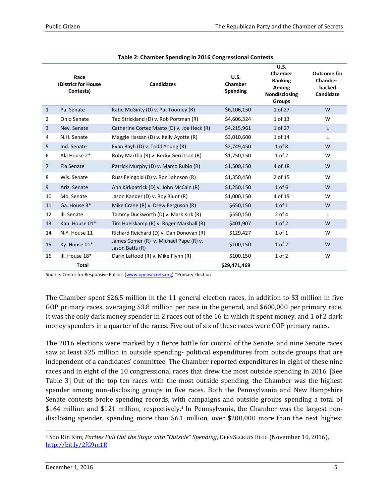|                | Race<br>(District for House<br>Contests) | <b>Candidates</b>                                         | U.S.<br>Chamber<br><b>Spending</b> | U.S.<br>Chamber<br>Ranking<br>Among<br>Nondisclosing<br><b>Groups</b> | <b>Outcome for</b><br><b>Chamber-</b><br>backed<br>Candidate |
|----------------|------------------------------------------|-----------------------------------------------------------|------------------------------------|-----------------------------------------------------------------------|--------------------------------------------------------------|
| $\mathbf{1}$   | Pa. Senate                               | Katie McGinty (D) v. Pat Toomey (R)                       | \$6,106,150                        | 1 of 27                                                               | W                                                            |
| 2              | Ohio Senate                              | Ted Strickland (D) v. Rob Portman (R)                     | \$4,606,324                        | 1 of 13                                                               | W                                                            |
| $\overline{3}$ | Nev. Senate                              | Catherine Cortez Masto (D) v. Joe Heck (R)                | \$4,215,961                        | 1 of 27                                                               | L                                                            |
| 4              | N.H. Senate                              | Maggie Hassan (D) v. Kelly Ayotte (R)                     | \$3,010,600                        | 1 of 14                                                               | L                                                            |
| 5              | Ind. Senate                              | Evan Bayh (D) v. Todd Young (R)                           | \$2,749,450                        | $1$ of $8$                                                            | W                                                            |
| 6              | Ala House 2*                             | Roby Martha (R) v. Becky Gerritson (R)                    | \$1,750,150                        | $1$ of $2$                                                            | W                                                            |
| 7              | <b>Fla Senate</b>                        | Patrick Murphy (D) v. Marco Rubio (R)                     | \$1,500,150                        | 4 of 18                                                               | W                                                            |
| 8              | Wis. Senate                              | Russ Feingold (D) v. Ron Johnson (R)                      | \$1,350,450                        | 2 of 15                                                               | W                                                            |
| 9              | Ariz. Senate                             | Ann Kirkpatrick (D) v. John McCain (R)                    | \$1,250,150                        | $1$ of $6$                                                            | W                                                            |
| 10             | Mo. Senate                               | Jason Kander (D) v. Roy Blunt (R)                         | \$1,000,150                        | 4 of 15                                                               | W                                                            |
| 11             | Ga. House 3*                             | Mike Crane (R) v. Drew Ferguson (R)                       | \$650,150                          | $1$ of $1$                                                            | W                                                            |
| 12             | III. Senate                              | Tammy Duckworth (D) v. Mark Kirk (R)                      | \$550,150                          | $2$ of $4$                                                            | L                                                            |
| 13             | Kan. House 01*                           | Tim Huelskamp (R) v. Roger Marshall (R)                   | \$401,907                          | $1$ of $2$                                                            | W                                                            |
| 14             | N.Y. House 11                            | Richard Reichard (D) v. Dan Donovan (R)                   | \$129,427                          | 1 of 1                                                                | W                                                            |
| 15             | Ky. House 01*                            | James Comer (R) v. Michael Pape (R) v.<br>Jason Batts (R) | \$100,150                          | $1$ of $2$                                                            | W                                                            |
| 16             | III. House 18*                           | Darin LaHood (R) v. Mike Flynn (R)                        | \$100,150                          | $1$ of $2$                                                            | W                                                            |
|                | <b>Total</b>                             |                                                           | \$29,471,469                       |                                                                       |                                                              |

Source: Center for Responsive Politics [\(www.opensecrets.org\)](file://///pcdc2/user%20data$/gaylmer/My%20Documents/www.opensecrets.org) \*Primary Election

The Chamber spent \$26.5 million in the 11 general election races, in addition to \$3 million in five GOP primary races, averaging \$3.8 million per race in the general, and \$600,000 per primary race. It was the only dark money spender in 2 races out of the 16 in which it spent money, and 1 of 2 dark money spenders in a quarter of the races. Five out of six of these races were GOP primary races.

The 2016 elections were marked by a fierce battle for control of the Senate, and nine Senate races saw at least \$25 million in outside spending- political expenditures from outside groups that are independent of a candidates' committee. The Chamber reported expenditures in eight of these nine races and in eight of the 10 congressional races that drew the most outside spending in 2016. [See Table 3] Out of the top ten races with the most outside spending, the Chamber was the highest spender among non-disclosing groups in five races. Both the Pennsylvania and New Hampshire Senate contests broke spending records, with campaigns and outside groups spending a total of \$164 million and \$121 million, respectively. <sup>4</sup> In Pennsylvania, the Chamber was the largest nondisclosing spender, spending more than \$6.1 million, over \$200,000 more than the next highest

l <sup>4</sup> Soo Rin Kim, *Parties Pull Out the Stops with "Outside" Spending*, OPENSECRETS BLOG (November 10, 2016), [http://bit.ly/2fG9m1R.](http://bit.ly/2fG9m1R)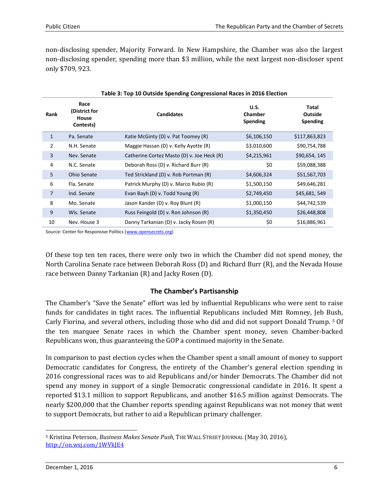non-disclosing spender, Majority Forward. In New Hampshire, the Chamber was also the largest non-disclosing spender, spending more than \$3 million, while the next largest non-discloser spent only \$709, 923.

|                | Table 3: Top 10 Outside Spending Congressional Races in 2016 Election |                                            |                                           |                              |  |  |
|----------------|-----------------------------------------------------------------------|--------------------------------------------|-------------------------------------------|------------------------------|--|--|
| Rank           | Race<br>(District for<br>House<br>Contests)                           | <b>Candidates</b>                          | U.S.<br><b>Chamber</b><br><b>Spending</b> | Total<br>Outside<br>Spending |  |  |
| $\mathbf{1}$   | Pa. Senate                                                            | Katie McGinty (D) v. Pat Toomey (R)        | \$6,106,150                               | \$117,863,823                |  |  |
| $\overline{2}$ | N.H. Senate                                                           | Maggie Hassan (D) v. Kelly Ayotte (R)      | \$3,010,600                               | \$90,754,788                 |  |  |
| 3              | Nev. Senate                                                           | Catherine Cortez Masto (D) v. Joe Heck (R) | \$4,215,961                               | \$90,654, 145                |  |  |
| 4              | N.C. Senate                                                           | Deborah Ross (D) v. Richard Burr (R)       | \$0                                       | \$59,088,388                 |  |  |
| 5              | <b>Ohio Senate</b>                                                    | Ted Strickland (D) v. Rob Portman (R)      | \$4,606,324                               | \$51,567,703                 |  |  |
| 6              | Fla. Senate                                                           | Patrick Murphy (D) v. Marco Rubio (R)      | \$1,500,150                               | \$49,646,281                 |  |  |
| $\overline{7}$ | Ind. Senate                                                           | Evan Bayh (D) v. Todd Young (R)            | \$2,749,450                               | \$45,681,549                 |  |  |
| 8              | Mo. Senate                                                            | Jason Kander (D) v. Roy Blunt (R)          | \$1,000,150                               | \$44,742,539                 |  |  |
| 9              | Wis. Senate                                                           | Russ Feingold (D) v. Ron Johnson (R)       | \$1,350,450                               | \$26,448,808                 |  |  |
| 10             | Nev. House 3                                                          | Danny Tarkanian (D) v. Jacky Rosen (R)     | \$0                                       | \$16,886,961                 |  |  |

Source: Center for Responsive Politics [\(www.opensecrets.org\)](file://///pcdc2/user%20data$/gaylmer/My%20Documents/www.opensecrets.org)

Of these top ten ten races, there were only two in which the Chamber did not spend money, the North Carolina Senate race between Deborah Ross (D) and Richard Burr (R), and the Nevada House race between Danny Tarkanian (R) and Jacky Rosen (D).

### **The Chamber's Partisanship**

The Chamber's "Save the Senate" effort was led by influential Republicans who were sent to raise funds for candidates in tight races. The influential Republicans included Mitt Romney, Jeb Bush, Carly Fiorina, and several others, including those who did and did not support Donald Trump. <sup>5</sup> Of the ten marquee Senate races in which the Chamber spent money, seven Chamber-backed Republicans won, thus guaranteeing the GOP a continued majority in the Senate.

In comparison to past election cycles when the Chamber spent a small amount of money to support Democratic candidates for Congress, the entirety of the Chamber's general election spending in 2016 congressional races was to aid Republicans and/or hinder Democrats. The Chamber did not spend any money in support of a single Democratic congressional candidate in 2016. It spent a reported \$13.1 million to support Republicans, and another \$16.5 million against Democrats. The nearly \$200,000 that the Chamber reports spending against Republicans was not money that went to support Democrats, but rather to aid a Republican primary challenger.

l

<sup>5</sup> Kristina Peterson, *Business Makes Senate Push*, THE WALL STREET JOURNAL (May 30, 2016), <http://on.wsj.com/1WVkJE4>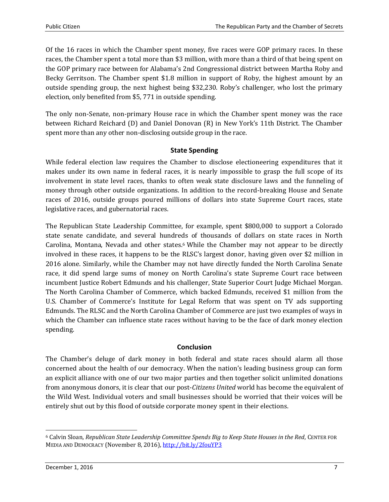Of the 16 races in which the Chamber spent money, five races were GOP primary races. In these races, the Chamber spent a total more than \$3 million, with more than a third of that being spent on the GOP primary race between for Alabama's 2nd Congressional district between Martha Roby and Becky Gerritson. The Chamber spent \$1.8 million in support of Roby, the highest amount by an outside spending group, the next highest being \$32,230. Roby's challenger, who lost the primary election, only benefited from \$5, 771 in outside spending.

The only non-Senate, non-primary House race in which the Chamber spent money was the race between Richard Reichard (D) and Daniel Donovan (R) in New York's 11th District. The Chamber spent more than any other non-disclosing outside group in the race.

## **State Spending**

While federal election law requires the Chamber to disclose electioneering expenditures that it makes under its own name in federal races, it is nearly impossible to grasp the full scope of its involvement in state level races, thanks to often weak state disclosure laws and the funneling of money through other outside organizations. In addition to the record-breaking House and Senate races of 2016, outside groups poured millions of dollars into state Supreme Court races, state legislative races, and gubernatorial races.

The Republican State Leadership Committee, for example, spent \$800,000 to support a Colorado state senate candidate, and several hundreds of thousands of dollars on state races in North Carolina, Montana, Nevada and other states.<sup>6</sup> While the Chamber may not appear to be directly involved in these races, it happens to be the RLSC's largest donor, having given over \$2 million in 2016 alone. Similarly, while the Chamber may not have directly funded the North Carolina Senate race, it did spend large sums of money on North Carolina's state Supreme Court race between incumbent Justice Robert Edmunds and his challenger, State Superior Court Judge Michael Morgan. The North Carolina Chamber of Commerce, which backed Edmunds, received \$1 million from the U.S. Chamber of Commerce's Institute for Legal Reform that was spent on TV ads supporting Edmunds. The RLSC and the North Carolina Chamber of Commerce are just two examples of ways in which the Chamber can influence state races without having to be the face of dark money election spending.

### **Conclusion**

The Chamber's deluge of dark money in both federal and state races should alarm all those concerned about the health of our democracy. When the nation's leading business group can form an explicit alliance with one of our two major parties and then together solicit unlimited donations from anonymous donors, it is clear that our post-*Citizens United* world has become the equivalent of the Wild West. Individual voters and small businesses should be worried that their voices will be entirely shut out by this flood of outside corporate money spent in their elections.

l

<sup>6</sup> Calvin Sloan, *Republican State Leadership Committee Spends Big to Keep State Houses in the Red*, CENTER FOR MEDIA AND DEMOCRACY (November 8, 2016)[, http://bit.ly/2fouYP3](http://bit.ly/2fouYP3)